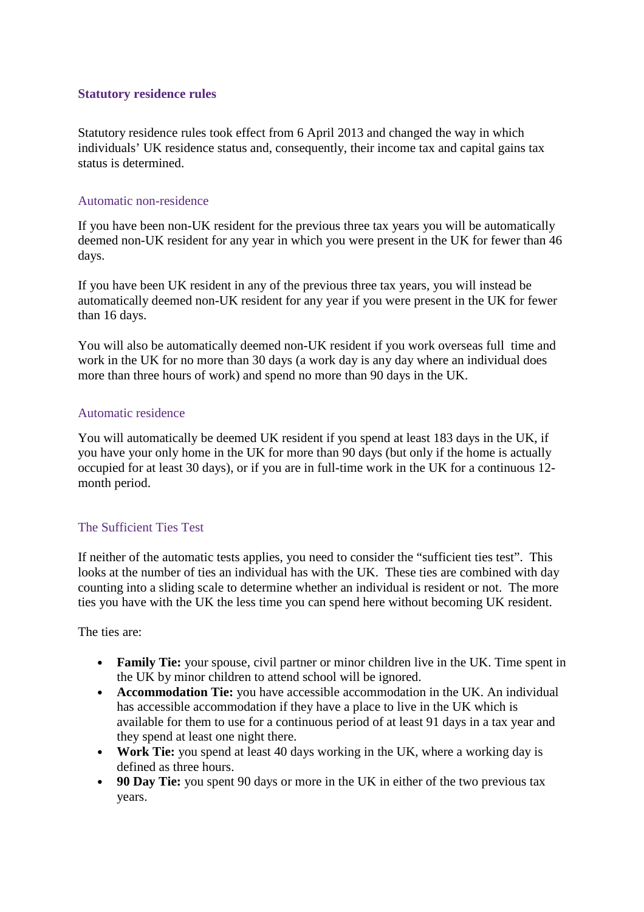### Statutory residence rules

Statutory residence rules took effect from 6 April 2013 and changed the way in which individuals' UK residence status and, consequently, their income tax and capital gains tax status is determined.

#### Automatic non-residence

If you have been non-UK resident for the previous three tax years you will be automatically deemed non-UK resident for any year in which you were present in the UK for fewer than 46 days.

If you have been UK resident in any of the previous three tax years, you will instead be automatically deemed non-UK resident for any year if you were present in the UK for fewer than 16 days.

You will also be automatically deemed non-UK resident if you work overseas full time and work in the UK for no more than 30 days (a work day is any day where an individual does more than three hours of work) and spend no more than 90 days in the UK.

### Automatic residence

You will automatically be deemed UK resident if you spend at least 183 days in the UK, if you have your only home in the UK for more than 90 days (but only if the home is actually occupied for at least 30 days), or if you are in full-time work in the UK for a continuous 12 month period.

# The Sufficient Ties Test

If neither of the automatic tests applies, you need to consider the "sufficient ties test". This looks at the number of ties an individual has with the UK. These ties are combined with day counting into a sliding scale to determine whether an individual is resident or not. The more ties you have with the UK the less time you can spend here without becoming UK resident.

The ties are:

- Family Tie: your spouse, civil partner or minor children live in the UK. Time spent in the UK by minor children to attend school will be ignored.
- Accommodation Tie: you have accessible accommodation in the UK. An individual has accessible accommodation if they have a place to live in the UK which is available for them to use for a continuous period of at least 91 days in a tax year and they spend at least one night there.
- Work Tie: you spend at least 40 days working in the UK, where a working day is defined as three hours.
- 90 Day Tie: you spent 90 days or more in the UK in either of the two previous tax years.